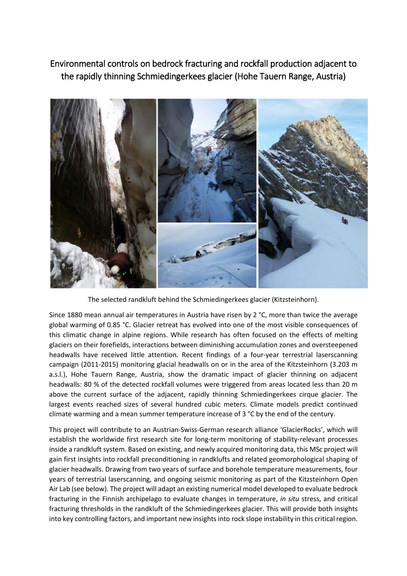## Environmental controls on bedrock fracturing and rockfall production adjacent to the rapidly thinning Schmiedingerkees glacier (Hohe Tauern Range, Austria)



The selected randkluft behind the Schmiedingerkees glacier (Kitzsteinhorn).

Since 1880 mean annual air temperatures in Austria have risen by 2 °C, more than twice the average global warming of 0.85 °C. Glacier retreat has evolved into one of the most visible consequences of this climatic change in alpine regions. While research has often focused on the effects of melting glaciers on their forefields, interactions between diminishing accumulation zones and oversteepened headwalls have received little attention. Recent findings of a four-year terrestrial laserscanning campaign (2011-2015) monitoring glacial headwalls on or in the area of the Kitzsteinhorn (3.203 m a.s.l.), Hohe Tauern Range, Austria, show the dramatic impact of glacier thinning on adjacent headwalls: 80 % of the detected rockfall volumes were triggered from areas located less than 20 m above the current surface of the adjacent, rapidly thinning Schmiedingerkees cirque glacier. The largest events reached sizes of several hundred cubic meters. Climate models predict continued climate warming and a mean summer temperature increase of 3 °C by the end of the century.

This project will contribute to an Austrian-Swiss-German research alliance 'GlacierRocks', which will establish the worldwide first research site for long-term monitoring of stability-relevant processes inside a randkluft system. Based on existing, and newly acquired monitoring data, this MSc project will gain first insights into rockfall preconditioning in randklufts and related geomorphological shaping of glacier headwalls. Drawing from two years of surface and borehole temperature measurements, four years of terrestrial laserscanning, and ongoing seismic monitoring as part of the Kitzsteinhorn Open Air Lab (see below). The project will adapt an existing numerical model developed to evaluate bedrock fracturing in the Finnish archipelago to evaluate changes in temperature, *in situ* stress, and critical fracturing thresholds in the randkluft of the Schmiedingerkees glacier. This will provide both insights into key controlling factors, and important new insights into rock slope instability in this critical region.